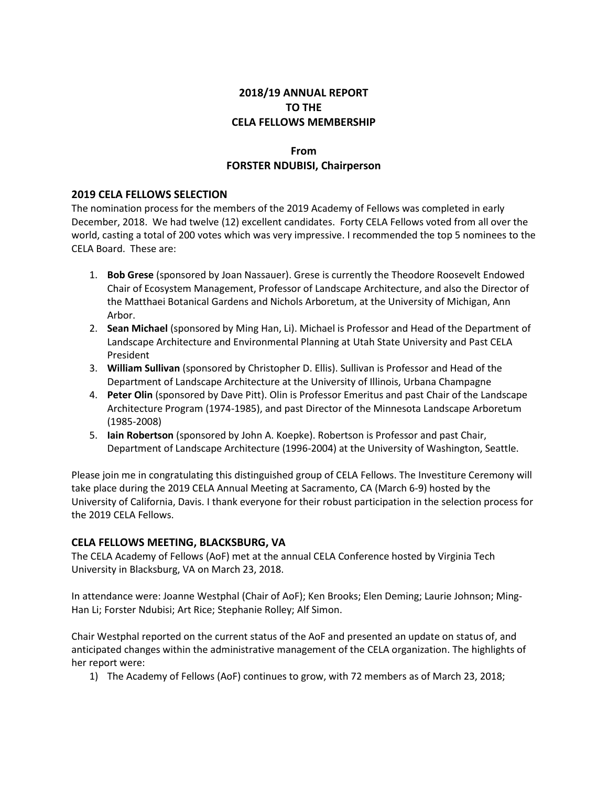# **2018/19 ANNUAL REPORT TO THE CELA FELLOWS MEMBERSHIP**

# **From FORSTER NDUBISI, Chairperson**

#### **2019 CELA FELLOWS SELECTION**

The nomination process for the members of the 2019 Academy of Fellows was completed in early December, 2018. We had twelve (12) excellent candidates. Forty CELA Fellows voted from all over the world, casting a total of 200 votes which was very impressive. I recommended the top 5 nominees to the CELA Board. These are:

- 1. **Bob Grese** (sponsored by Joan Nassauer). Grese is currently the Theodore Roosevelt Endowed Chair of Ecosystem Management, Professor of Landscape Architecture, and also the Director of the Matthaei Botanical Gardens and Nichols Arboretum, at the University of Michigan, Ann Arbor.
- 2. **Sean Michael** (sponsored by Ming Han, Li). Michael is Professor and Head of the Department of Landscape Architecture and Environmental Planning at Utah State University and Past CELA President
- 3. **William Sullivan** (sponsored by Christopher D. Ellis). Sullivan is Professor and Head of the Department of Landscape Architecture at the University of Illinois, Urbana Champagne
- 4. **Peter Olin** (sponsored by Dave Pitt). Olin is Professor Emeritus and past Chair of the Landscape Architecture Program (1974-1985), and past Director of the Minnesota Landscape Arboretum (1985-2008)
- 5. **Iain Robertson** (sponsored by John A. Koepke). Robertson is Professor and past Chair, Department of Landscape Architecture (1996-2004) at the University of Washington, Seattle.

Please join me in congratulating this distinguished group of CELA Fellows. The Investiture Ceremony will take place during the 2019 CELA Annual Meeting at Sacramento, CA (March 6-9) hosted by the University of California, Davis. I thank everyone for their robust participation in the selection process for the 2019 CELA Fellows.

## **CELA FELLOWS MEETING, BLACKSBURG, VA**

The CELA Academy of Fellows (AoF) met at the annual CELA Conference hosted by Virginia Tech University in Blacksburg, VA on March 23, 2018.

In attendance were: Joanne Westphal (Chair of AoF); Ken Brooks; Elen Deming; Laurie Johnson; Ming-Han Li; Forster Ndubisi; Art Rice; Stephanie Rolley; Alf Simon.

Chair Westphal reported on the current status of the AoF and presented an update on status of, and anticipated changes within the administrative management of the CELA organization. The highlights of her report were:

1) The Academy of Fellows (AoF) continues to grow, with 72 members as of March 23, 2018;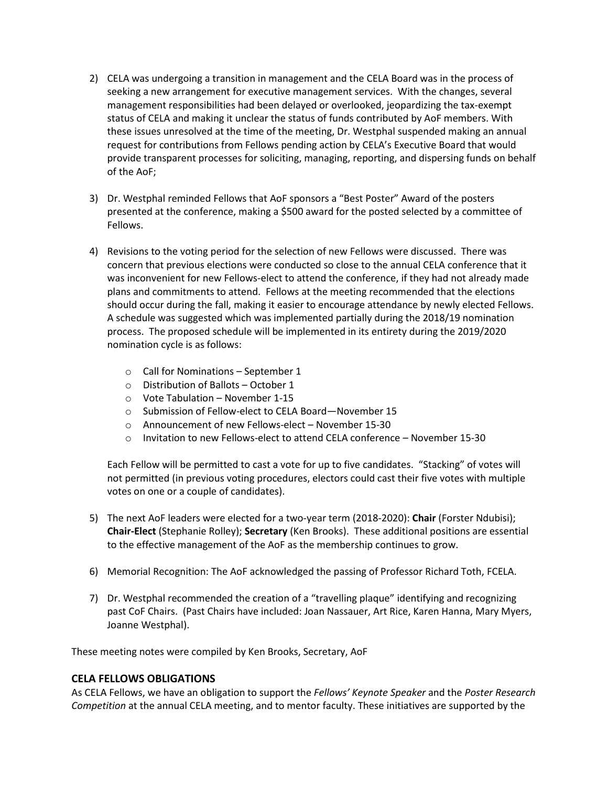- 2) CELA was undergoing a transition in management and the CELA Board was in the process of seeking a new arrangement for executive management services. With the changes, several management responsibilities had been delayed or overlooked, jeopardizing the tax-exempt status of CELA and making it unclear the status of funds contributed by AoF members. With these issues unresolved at the time of the meeting, Dr. Westphal suspended making an annual request for contributions from Fellows pending action by CELA's Executive Board that would provide transparent processes for soliciting, managing, reporting, and dispersing funds on behalf of the AoF;
- 3) Dr. Westphal reminded Fellows that AoF sponsors a "Best Poster" Award of the posters presented at the conference, making a \$500 award for the posted selected by a committee of Fellows.
- 4) Revisions to the voting period for the selection of new Fellows were discussed. There was concern that previous elections were conducted so close to the annual CELA conference that it was inconvenient for new Fellows-elect to attend the conference, if they had not already made plans and commitments to attend. Fellows at the meeting recommended that the elections should occur during the fall, making it easier to encourage attendance by newly elected Fellows. A schedule was suggested which was implemented partially during the 2018/19 nomination process. The proposed schedule will be implemented in its entirety during the 2019/2020 nomination cycle is as follows:
	- o Call for Nominations September 1
	- o Distribution of Ballots October 1
	- o Vote Tabulation November 1-15
	- o Submission of Fellow-elect to CELA Board—November 15
	- o Announcement of new Fellows-elect November 15-30
	- $\circ$  Invitation to new Fellows-elect to attend CELA conference November 15-30

Each Fellow will be permitted to cast a vote for up to five candidates. "Stacking" of votes will not permitted (in previous voting procedures, electors could cast their five votes with multiple votes on one or a couple of candidates).

- 5) The next AoF leaders were elected for a two-year term (2018-2020): **Chair** (Forster Ndubisi); **Chair-Elect** (Stephanie Rolley); **Secretary** (Ken Brooks). These additional positions are essential to the effective management of the AoF as the membership continues to grow.
- 6) Memorial Recognition: The AoF acknowledged the passing of Professor Richard Toth, FCELA.
- 7) Dr. Westphal recommended the creation of a "travelling plaque" identifying and recognizing past CoF Chairs. (Past Chairs have included: Joan Nassauer, Art Rice, Karen Hanna, Mary Myers, Joanne Westphal).

These meeting notes were compiled by Ken Brooks, Secretary, AoF

#### **CELA FELLOWS OBLIGATIONS**

As CELA Fellows, we have an obligation to support the *Fellows' Keynote Speaker* and the *Poster Research Competition* at the annual CELA meeting, and to mentor faculty. These initiatives are supported by the